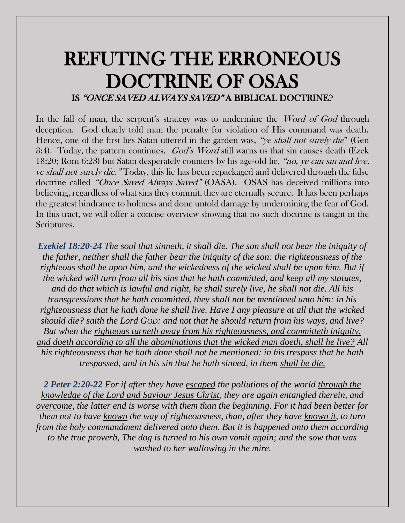# REFUTING THE ERRONEOUS DOCTRINE OF OSAS IS "ONCE SAVED ALWAYS SAVED" A BIBLICAL DOCTRINE?

In the fall of man, the serpent's strategy was to undermine the *Word of God* through deception. God clearly told man the penalty for violation of His command was death. Hence, one of the first lies Satan uttered in the garden was, "*ye shall not surely die*" (Gen 3:4). Today, the pattern continues. *God's Word* still warns us that sin causes death (Ezek 18:20; Rom 6:23) but Satan desperately counters by his age-old lie, "no, ye can sin and live, ye shall not surely die." Today, this lie has been repackaged and delivered through the false doctrine called "Once Saved Always Saved" (OASA). OSAS has deceived millions into believing, regardless of what sins they commit, they are eternally secure. It has been perhaps the greatest hindrance to holiness and done untold damage by undermining the fear of God. In this tract, we will offer a concise overview showing that no such doctrine is taught in the Scriptures.

*Ezekiel 18:20-24 The soul that sinneth, it shall die. The son shall not bear the iniquity of the father, neither shall the father bear the iniquity of the son: the righteousness of the righteous shall be upon him, and the wickedness of the wicked shall be upon him. But if the wicked will turn from all his sins that he hath committed, and keep all my statutes, and do that which is lawful and right, he shall surely live, he shall not die. All his transgressions that he hath committed, they shall not be mentioned unto him: in his righteousness that he hath done he shall live. Have I any pleasure at all that the wicked should die? saith the Lord GOD: and not that he should return from his ways, and live? But when the righteous turneth away from his righteousness, and committeth iniquity, and doeth according to all the abominations that the wicked man doeth, shall he live? All his righteousness that he hath done shall not be mentioned: in his trespass that he hath trespassed, and in his sin that he hath sinned, in them shall he die.*

*2 Peter 2:20-22 For if after they have escaped the pollutions of the world through the knowledge of the Lord and Saviour Jesus Christ, they are again entangled therein, and overcome, the latter end is worse with them than the beginning. For it had been better for them not to have known the way of righteousness, than, after they have known it, to turn from the holy commandment delivered unto them. But it is happened unto them according to the true proverb, The dog is turned to his own vomit again; and the sow that was washed to her wallowing in the mire.*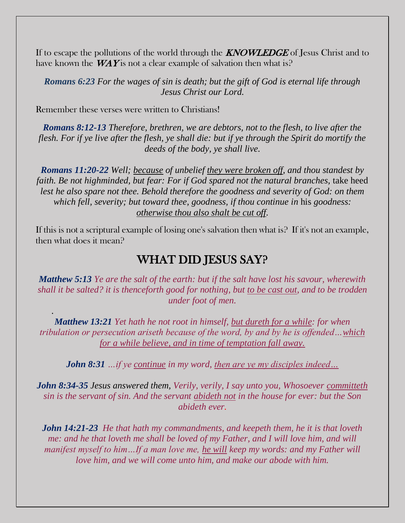If to escape the pollutions of the world through the **KNOWLEDGE** of Jesus Christ and to have known the  $W\!AY$  is not a clear example of salvation then what is?

*Romans 6:23 For the wages of sin is death; but the gift of God is eternal life through Jesus Christ our Lord.*

Remember these verses were written to Christians!

*.* 

*Romans 8:12-13 Therefore, brethren, we are debtors, not to the flesh, to live after the flesh. For if ye live after the flesh, ye shall die: but if ye through the Spirit do mortify the deeds of the body, ye shall live.*

*Romans 11:20-22 Well; because of unbelief they were broken off, and thou standest by faith. Be not highminded, but fear: For if God spared not the natural branches, take heed lest he also spare not thee. Behold therefore the goodness and severity of God: on them which fell, severity; but toward thee, goodness, if thou continue in* his *goodness: otherwise thou also shalt be cut off.*

If this is not a scriptural example of losing one's salvation then what is? If it's not an example, then what does it mean?

#### WHAT DID JESUS SAY?

*Matthew 5:13 Ye are the salt of the earth: but if the salt have lost his savour, wherewith shall it be salted? it is thenceforth good for nothing, but to be cast out, and to be trodden under foot of men.*

*Matthew 13:21 Yet hath he not root in himself, but dureth for a while: for when tribulation or persecution ariseth because of the word, by and by he is offended…which for a while believe, and in time of temptation fall away.*

*John 8:31 …if ye continue in my word, then are ye my disciples indeed…*

*John 8:34-35 Jesus answered them, Verily, verily, I say unto you, Whosoever committeth sin is the servant of sin. And the servant abideth not in the house for ever: but the Son abideth ever.*

*John 14:21-23 He that hath my commandments, and keepeth them, he it is that loveth me: and he that loveth me shall be loved of my Father, and I will love him, and will manifest myself to him…If a man love me, he will keep my words: and my Father will love him, and we will come unto him, and make our abode with him.*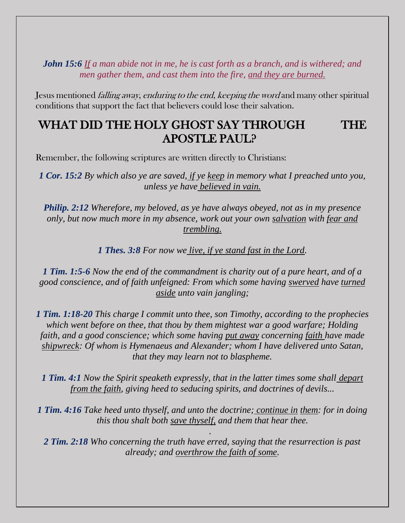*John 15:6 If a man abide not in me, he is cast forth as a branch, and is withered; and men gather them, and cast them into the fire, and they are burned.*

Jesus mentioned falling away, enduring to the end, keeping the word and many other spiritual conditions that support the fact that believers could lose their salvation.

### WHAT DID THE HOLY GHOST SAY THROUGH THE APOSTLE PAUL?

Remember, the following scriptures are written directly to Christians:

*1 Cor. 15:2 By which also ye are saved, if ye keep in memory what I preached unto you, unless ye have believed in vain.*

*Philip. 2:12 Wherefore, my beloved, as ye have always obeyed, not as in my presence only, but now much more in my absence, work out your own salvation with fear and trembling.*

*1 Thes. 3:8 For now we live, if ye stand fast in the Lord.*

*1 Tim. 1:5-6 Now the end of the commandment is charity out of a pure heart, and of a good conscience, and of faith unfeigned: From which some having swerved have turned aside unto vain jangling;*

*1 Tim. 1:18-20 This charge I commit unto thee, son Timothy, according to the prophecies which went before on thee, that thou by them mightest war a good warfare; Holding faith, and a good conscience; which some having put away concerning faith have made shipwreck: Of whom is Hymenaeus and Alexander; whom I have delivered unto Satan, that they may learn not to blaspheme.*

*1 Tim. 4:1 Now the Spirit speaketh expressly, that in the latter times some shall depart from the faith, giving heed to seducing spirits, and doctrines of devils...*

*1 Tim. 4:16 Take heed unto thyself, and unto the doctrine; continue in them: for in doing this thou shalt both save thyself, and them that hear thee.*

*.*

*2 Tim. 2:18 Who concerning the truth have erred, saying that the resurrection is past already; and overthrow the faith of some.*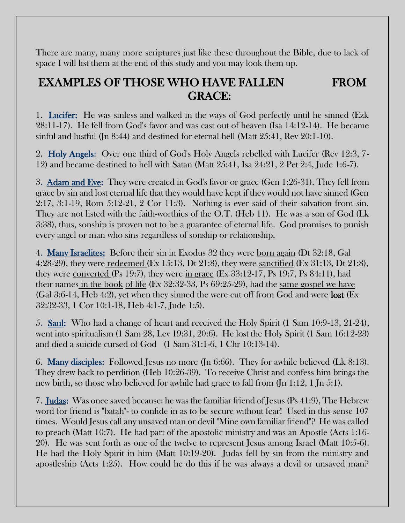There are many, many more scriptures just like these throughout the Bible, due to lack of space I will list them at the end of this study and you may look them up.

### EXAMPLES OF THOSE WHO HAVE FALLEN FROM GRACE:

1. Lucifer: He was sinless and walked in the ways of God perfectly until he sinned (Ezk 28:11-17). He fell from God's favor and was cast out of heaven (Isa 14:12-14). He became sinful and lustful (Jn 8:44) and destined for eternal hell (Matt 25:41, Rev 20:1-10).

2. Holy Angels: Over one third of God's Holy Angels rebelled with Lucifer (Rev 12:3, 7- 12) and became destined to hell with Satan (Matt 25:41, Isa 24:21, 2 Pet 2:4, Jude 1:6-7).

3. Adam and Eve: They were created in God's favor or grace (Gen 1:26-31). They fell from grace by sin and lost eternal life that they would have kept if they would not have sinned (Gen 2:17, 3:1-19, Rom 5:12-21, 2 Cor 11:3). Nothing is ever said of their salvation from sin. They are not listed with the faith-worthies of the O.T. (Heb 11). He was a son of God (Lk 3:38), thus, sonship is proven not to be a guarantee of eternal life. God promises to punish every angel or man who sins regardless of sonship or relationship.

4. Many Israelites: Before their sin in Exodus 32 they were born again (Dt 32:18, Gal 4:28-29), they were redeemed (Ex 15:13, Dt 21:8), they were sanctified (Ex 31:13, Dt 21:8), they were converted (Ps 19:7), they were in grace (Ex 33:12-17, Ps 19:7, Ps 84:11), had their names in the book of life (Ex 32:32-33, Ps 69:25-29), had the same gospel we have (Gal 3:6-14, Heb 4:2), yet when they sinned the were cut off from God and were lost (Ex 32:32-33, 1 Cor 10:1-18, Heb 4:1-7, Jude 1:5).

5. Saul: Who had a change of heart and received the Holy Spirit (1 Sam 10:9-13, 21-24), went into spiritualism (1 Sam 28, Lev 19:31, 20:6). He lost the Holy Spirit (1 Sam 16:12-23) and died a suicide cursed of God (1 Sam 31:1-6, 1 Chr 10:13-14).

6. Many disciples: Followed Jesus no more (Jn 6:66). They for awhile believed (Lk 8:13). They drew back to perdition (Heb 10:26-39). To receive Christ and confess him brings the new birth, so those who believed for awhile had grace to fall from (Jn 1:12, 1 Jn 5:1).

7. Judas: Was once saved because: he was the familiar friend of Jesus (Ps 41:9), The Hebrew word for friend is "batah"- to confide in as to be secure without fear! Used in this sense 107 times. Would Jesus call any unsaved man or devil "Mine own familiar friend"? He was called to preach (Matt 10:7). He had part of the apostolic ministry and was an Apostle (Acts 1:16- 20). He was sent forth as one of the twelve to represent Jesus among Israel (Matt 10:5-6). He had the Holy Spirit in him (Matt 10:19-20). Judas fell by sin from the ministry and apostleship (Acts 1:25). How could he do this if he was always a devil or unsaved man?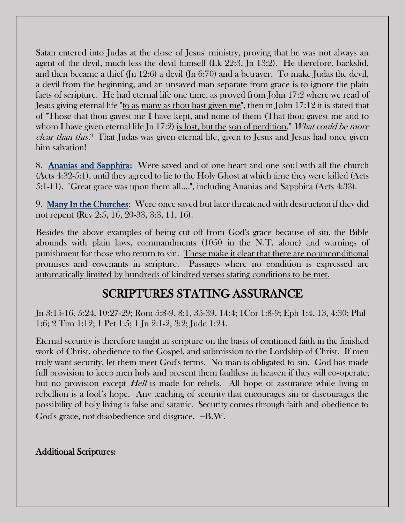Satan entered into Judas at the close of Jesus' ministry, proving that he was not always an agent of the devil, much less the devil himself (Lk 22:3, Jn 13:2). He therefore, backslid, and then became a thief (Jn 12:6) a devil (Jn 6:70) and a betrayer. To make Judas the devil, a devil from the beginning, and an unsaved man separate from grace is to ignore the plain facts of scripture. He had eternal life one time, as proved from John 17:2 where we read of Jesus giving eternal life "to as many as thou hast given me", then in John 17:12 it is stated that of "Those that thou gavest me I have kept, and none of them (That thou gavest me and to whom I have given eternal life Jn 17:2) is lost, but the son of perdition." What could be more clear than this? That Judas was given eternal life, given to Jesus and Jesus had once given him salvation!

8. Ananias and Sapphira: Were saved and of one heart and one soul with all the church (Acts 4:32-5:1), until they agreed to lie to the Holy Ghost at which time they were killed (Acts 5:1-11). "Great grace was upon them all....", including Ananias and Sapphira (Acts 4:33).

9. Many In the Churches: Were once saved but later threatened with destruction if they did not repent (Rev 2:5, 16, 20-33, 3:3, 11, 16).

Besides the above examples of being cut off from God's grace because of sin, the Bible abounds with plain laws, commandments (1050 in the N.T. alone) and warnings of punishment for those who return to sin. These make it clear that there are no unconditional promises and covenants in scripture. Passages where no condition is expressed are automatically limited by hundreds of kindred verses stating conditions to be met.

## SCRIPTURES STATING ASSURANCE

Jn 3:15-16, 5:24, 10:27-29; Rom 5:8-9, 8:1, 35-39, 14:4; 1Cor 1:8-9; Eph 1:4, 13, 4:30; Phil 1:6; 2 Tim 1:12; 1 Pet 1:5; 1 Jn 2:1-2, 3:2; Jude 1:24.

Eternal security is therefore taught in scripture on the basis of continued faith in the finished work of Christ, obedience to the Gospel, and submission to the Lordship of Christ. If men truly want security, let them meet God's terms. No man is obligated to sin. God has made full provision to keep men holy and present them faultless in heaven if they will co-operate; but no provision except *Hell* is made for rebels. All hope of assurance while living in rebellion is a fool's hope. Any teaching of security that encourages sin or discourages the possibility of holy living is false and satanic. Security comes through faith and obedience to God's grace, not disobedience and disgrace. −B.W.

#### Additional Scriptures: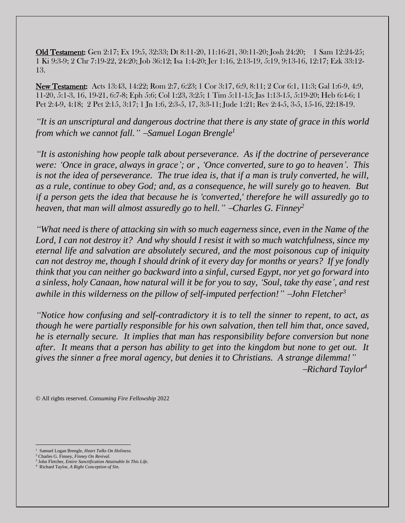Old Testament: Gen 2:17; Ex 19:5, 32:33; Dt 8:11-20, 11:16-21, 30:11-20; Josh 24:20; 1 Sam 12:24-25; 1 Ki 9:3-9; 2 Chr 7:19-22, 24:20; Job 36:12; Isa 1:4-20; Jer 1:16, 2:13-19, 5:19, 9:13-16, 12:17; Ezk 33:12- 13.

New Testament: Acts 13:43, 14:22; Rom 2:7, 6:23; 1 Cor 3:17, 6:9, 8:11; 2 Cor 6:1, 11:3; Gal 1:6-9, 4:9, 11-20, 5:1-3, 16, 19-21, 6:7-8; Eph 5:6; Col 1:23, 3:25; 1 Tim 5:11-15; Jas 1:13-15, 5:19-20; Heb 6:4-6; 1 Pet 2:4-9, 4:18; 2 Pet 2:15, 3:17; 1 Jn 1:6, 2:3-5, 17, 3:3-11; Jude 1:21; Rev 2:4-5, 3-5, 15-16, 22:18-19.

*"It is an unscriptural and dangerous doctrine that there is any state of grace in this world from which we cannot fall."* <sup>−</sup>*Samuel Logan Brengle<sup>1</sup>*

*"It is astonishing how people talk about perseverance. As if the doctrine of perseverance were: 'Once in grace, always in grace'; or , 'Once converted, sure to go to heaven'. This is not the idea of perseverance. The true idea is, that if a man is truly converted, he will, as a rule, continue to obey God; and, as a consequence, he will surely go to heaven. But if a person gets the idea that because he is 'converted,' therefore he will assuredly go to heaven, that man will almost assuredly go to hell.* " −*Charles G. Finney*<sup>2</sup>

*"What need is there of attacking sin with so much eagerness since, even in the Name of the Lord, I can not destroy it? And why should I resist it with so much watchfulness, since my eternal life and salvation are absolutely secured, and the most poisonous cup of iniquity can not destroy me, though I should drink of it every day for months or years? If ye fondly think that you can neither go backward into a sinful, cursed Egypt, nor yet go forward into a sinless, holy Canaan, how natural will it be for you to say, 'Soul, take thy ease', and rest awhile in this wilderness on the pillow of self-imputed perfection!"* <sup>−</sup>*John Fletcher<sup>3</sup>*

*"Notice how confusing and self-contradictory it is to tell the sinner to repent, to act, as though he were partially responsible for his own salvation, then tell him that, once saved, he is eternally secure. It implies that man has responsibility before conversion but none after. It means that a person has ability to get into the kingdom but none to get out. It gives the sinner a free moral agency, but denies it to Christians. A strange dilemma!"* −*Richard Taylor<sup>4</sup>*

© All rights reserved. *Consuming Fire Fellowship* 2022

<sup>1</sup> Samuel Logan Brengle*, Heart Talks On Holiness.*

<sup>2</sup> Charles G. Finney, *Finney On Revival.*

<sup>3</sup> John Fletcher, *Entire Sanctification Attainable In This Life.*

<sup>4</sup> Richard Taylor, *A Right Conception of Sin.*